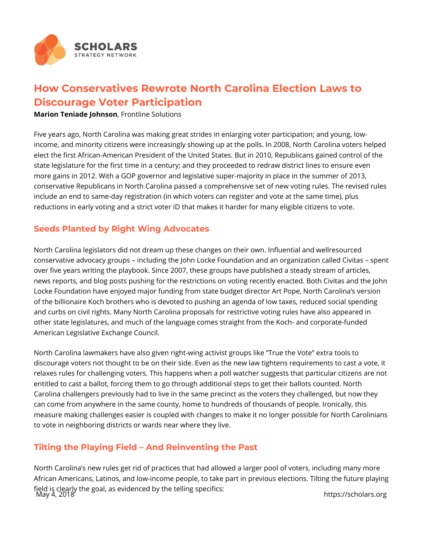

## **How Conservatives Rewrote North Carolina Election Laws to Discourage Voter Participation**

**Marion Teniade Johnson**, Frontline Solutions

Five years ago, North Carolina was making great strides in enlarging voter participation; and young, lowincome, and minority citizens were increasingly showing up at the polls. In 2008, North Carolina voters helped elect the first African-American President of the United States. But in 2010, Republicans gained control of the state legislature for the first time in a century; and they proceeded to redraw district lines to ensure even more gains in 2012. With a GOP governor and legislative super-majority in place in the summer of 2013, conservative Republicans in North Carolina passed a comprehensive set of new voting rules. The revised rules include an end to same-day registration (in which voters can register and vote at the same time), plus reductions in early voting and a strict voter ID that makes it harder for many eligible citizens to vote.

## **Seeds Planted by Right Wing Advocates**

North Carolina legislators did not dream up these changes on their own. Influential and wellresourced conservative advocacy groups – including the John Locke Foundation and an organization called Civitas – spent over five years writing the playbook. Since 2007, these groups have published a steady stream of articles, news reports, and blog posts pushing for the restrictions on voting recently enacted. Both Civitas and the John Locke Foundation have enjoyed major funding from state budget director Art Pope, North Carolina's version of the billionaire Koch brothers who is devoted to pushing an agenda of low taxes, reduced social spending and curbs on civil rights. Many North Carolina proposals for restrictive voting rules have also appeared in other state legislatures, and much of the language comes straight from the Koch- and corporate-funded American Legislative Exchange Council.

North Carolina lawmakers have also given right-wing activist groups like "True the Vote" extra tools to discourage voters not thought to be on their side. Even as the new law tightens requirements to cast a vote, it relaxes rules for challenging voters. This happens when a poll watcher suggests that particular citizens are not entitled to cast a ballot, forcing them to go through additional steps to get their ballots counted. North Carolina challengers previously had to live in the same precinct as the voters they challenged, but now they can come from anywhere in the same county, home to hundreds of thousands of people. Ironically, this measure making challenges easier is coupled with changes to make it no longer possible for North Carolinians to vote in neighboring districts or wards near where they live.

## **Tilting the Playing Field – And Reinventing the Past**

North Carolina's new rules get rid of practices that had allowed a larger pool of voters, including many more African Americans, Latinos, and low-income people, to take part in previous elections. Tilting the future playing field is clearly the goal, as evidenced by the telling specifics: May 4, 2018 https://scholars.org